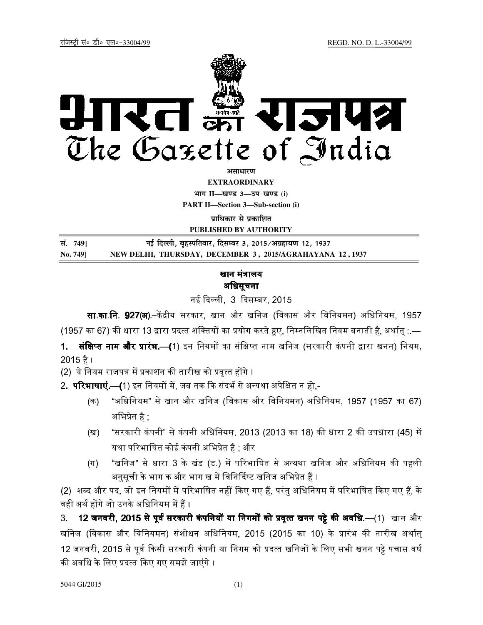

असाधारण

**EXTRAORDINARY**

**Hkkx II—[k.M 3—mi&[k.M (i) PART II—Section 3—Sub-section (i)** 

**प्राधिकार से प्रकाशित** 

**PUBLISHED BY AUTHORITY**

| सं. 749] | नई दिल्ली, बृहस्पतिवार, दिसम्बर 3, 2015/अग्रहायण 12, 1937 |
|----------|-----------------------------------------------------------|
| No. 749] | NEW DELHI, THURSDAY, DECEMBER 3, 2015/AGRAHAYANA 12, 1937 |

## खान मंत्रालय अधिसूचना

**सा.का.नि. 927(अ**).–केंद्रीय सरकार, खान और खनिज (विकास और विनियमन) अधिनियम, 1957 (1957 का 67) की धारा 13 द्वारा प्रदत्त शक्तियों का प्रयोग करते हुए. निम्नलिखित नियम बनाती है, अर्थात :—

1. **क्षिप्त नाम और प्रारंभ.—(**1) इन नियमों का संक्षिप्त नाम खनिज (सरकारी कंपनी द्वारा खनन) नियम. 2015 है ।

(2) ये नियम राजपत्र में प्रकाशन की तारीख को प्रवृत्त होंगे ।

2. **परिभाषाएं.—(**1) इन नियमों में. जब तक कि संदर्भ से अन्यथा अपेक्षित न हो.-

- (क) "अिधिनयम" से खान और खिनज (िवकास और िविनयमन) अिधिनयम, 1957 (1957 का 67) अभिप्रेत है ;
- (ख) "सरकारी कंपनी" से कंपनी अधिनियम, 2013 (2013 का 18) की धारा 2 की उपधारा (45) में यथा परिभाषित कोई कंपनी अभिप्रेत है : और |
- (ग) "खनिज" से धारा 3 के खंड (ड.) में परिभाषित से अन्यथा खनिज और अधिनियम की पहली अनुसूची के भाग क और भाग ख में विनिर्दिष्ट खनिज अभिप्रेत हैं ।

(2) शब्द और पद, जो इन नियमों में परिभाषित नहीं किए गए हैं, परंतु अधिनियम में परिभाषित किए गए हैं, के वही अर्थ होंगे जो उनके अधिनियम में हैं ।

3. 12 <mark>जनवरी. 2015 से पर्व सरकारी कंपनियों या निगमों को प्रवत्त खनन पट्टे की अवधि.—(1)</mark> खान और खनिज (विकास और विनियमन) संशोधन अधिनियम, 2015 (2015 का 10) के प्रारंभ की तारीख अर्थात् 12 जनवरी, 2015 से पूर्व किसी सरकारी कंपनी या निगम को प्रदत्त खनिजों के लिए सभी खनन पट्टे पचास वर्ष की अवधि के लिए प्रदत्त किए गए समझे जाएंगे ।

नई दिल्ली 3 दिसम्बर 2015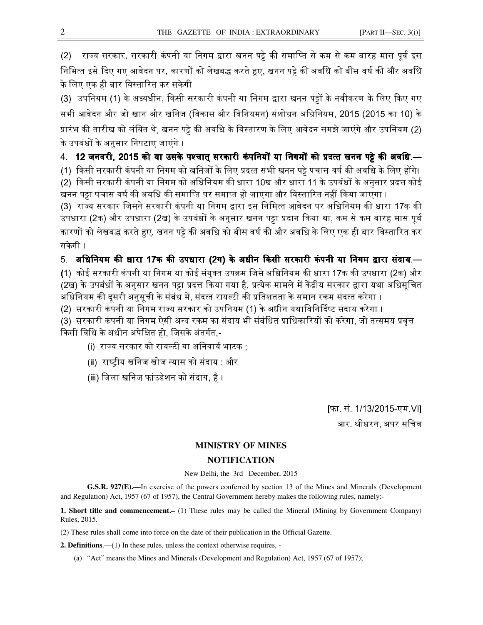(2) राज्य सरकार, सरकारी कंपनी या निगम द्वारा खनन पट्टे की समाप्ति से कम से कम बारह मास पूर्व इस निमित्त इसे दिए गए आवेदन पर, कारणों को लेखबद्ध करते हुए, खनन पट्टे की अवधि को बीस वर्ष की और अवधि के लिए एक ही बार विस्तारित कर सकेगी ।

(3) उपनियम (1) के अध्यधीन, किसी सरकारी कंपनी या निगम द्वारा खनन पट्टों के नवीकरण के लिए किए गए सभी आवेदन और जो खान और खनिज (विकास और विनियमन) संशोधन अधिनियम, 2015 (2015 का 10) के प्रारंभ की तारीख को लंबित थे, खनन पट्टे की अवधि के विस्तारण के लिए आवेदन समझे जाएंगे और उपनियम (2) के उपबंधों के अनुसार निपटाए जाएंगे ।

## 4. 12 जनवरी. 2015 को या उसके पश्चात सरकारी कंपनियों या निगमों को प्रदत्त खनन पट्टे की अवधि.—

(1) किसी सरकारी कंपनी या निगम को खनिजों के लिए प्रदत्त सभी खनन पट्टे पचास वर्ष की अवधि के लिए होंगे। (2) किसी सरकारी कंपनी या निगम को अधिनियम की धारा 10ख और धारा 11 के उपबंधों के अनसार प्रदत्त कोई खनन पट्टा पचास वर्ष की अवधि की समाप्ति पर समाप्त हो जाएगा और विस्तारित नहीं किया जाएगा ।

(3) राज्य सरकार जिसने सरकारी कंपनी या निगम द्वारा इस निमित्त आवेदन पर अधिनियम की धारा 17क की उपधारा (2क) और उपधारा (2ख) के उपबंधों के अनुसार खनन पट्टा प्रदान किया था, कम से कम बारह मास पूर्व कारणों को लेखबद्ध करते हुए, खनन पट्टे की अवधि को बीस वर्ष की और अवधि के लिए एक ही बार विस्तारित कर सकेगी ।

## 5. अधिनियम की धारा 17क की उपधारा (2ग) के अधीन किसी सरकारी कंपनी या निगम द्वारा संदाय.—

**(**1) कोई सरकारी कंपनी या निगम या कोई संयक्त उपक्रम जिसे अधिनियम की धारा 17क की उपधारा (2क) और (2ख) के उपबंधों के अनुसार खनन पट्टा प्रदत्त किया गया है, प्रत्येक मामले में केंद्रीय सरकार द्वारा यथा अधिसूचित अधिनियम की दूसरी अनुसूची के संबंध में, संदत्त रायल्टी की प्रतिशतता के समान रकम संदत्त करेगा ।

<u>(2) सरकारी कंपनी या निगम राज्य सरकार को उपनियम (1) के अधीन यथाविनिर्दिष्ट संदाय करेगा ।</u>

(3) सरकारी कंपनी या निगम ऐसी अन्य रकम का संदाय भी संबंधित प्राधिकारियों को करेगा, जो तत्समय प्रवृत्त <u>किसी विधि के अधीन अपेक्षित हो. जिसके अंतर्गत -</u>

(i) राज्य सरकार को रायल्टी या अनिवार्य भाटक ;

(ii) राष्टीय खनिज खोज न्यास को संदाय : और

(iii) िजला खिनज फांउडेशन को संदाय, है ।

[फा. सं. 1/13/2015-एम.VI] आर. श्रीधरन. अपर सचिव

## **MINISTRY OF MINES NOTIFICATION**

New Delhi, the 3rd December, 2015

**G.S.R. 927(E).—**In exercise of the powers conferred by section 13 of the Mines and Minerals (Development and Regulation) Act, 1957 (67 of 1957), the Central Government hereby makes the following rules, namely:-

**1. Short title and commencement.–** (1) These rules may be called the Mineral (Mining by Government Company) Rules, 2015.

(2) These rules shall come into force on the date of their publication in the Official Gazette.

**2. Definitions**.—(1) In these rules, unless the context otherwise requires, -

(a) "Act" means the Mines and Minerals (Development and Regulation) Act, 1957 (67 of 1957);